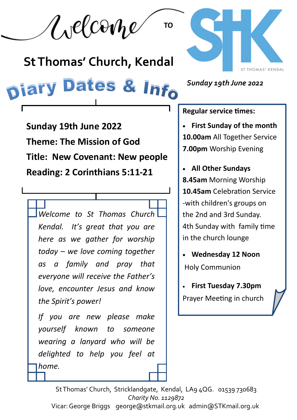Welcome

# **St Thomas' Church, Kendal**

# **Diary Dates & Info**

*Sunday 19th June 2022*

ST THOMAS' KENDAL

**Sunday 19th June 2022 Theme: The Mission of God Title: New Covenant: New people Reading: 2 Corinthians 5:11-21**

*Welcome to St Thomas Church Kendal. It's great that you are here as we gather for worship today – we love coming together as a family and pray that everyone will receive the Father's love, encounter Jesus and know the Spirit's power!*

*If you are new please make yourself known to someone wearing a lanyard who will be delighted to help you feel at home.*

**Regular service times:** 

**TO**

• **First Sunday of the month 10.00am** All Together Service **7.00pm** Worship Evening

• **All Other Sundays 8.45am** Morning Worship **10.45am** Celebration Service -with children's groups on the 2nd and 3rd Sunday. 4th Sunday with family time in the church lounge

• **Wednesday 12 Noon**  Holy Communion

• **First Tuesday 7.30pm** Prayer Meeting in church

St Thomas' Church, Stricklandgate, Kendal, LA9 4QG. 01539 730683 *Charity No. 1129872* Vicar: George Briggs george@stkmail.org.uk admin@STKmail.org.uk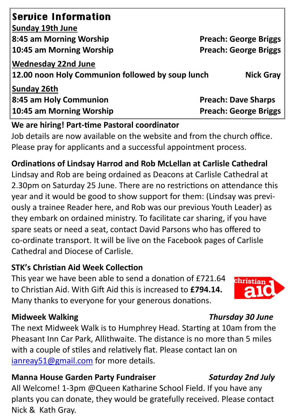| <b>Service Information</b>                                              |                              |
|-------------------------------------------------------------------------|------------------------------|
| Sunday 19th June                                                        |                              |
| 8:45 am Morning Worship                                                 | <b>Preach: George Briggs</b> |
| 10:45 am Morning Worship                                                | <b>Preach: George Briggs</b> |
| Wednesday 22nd June<br>12.00 noon Holy Communion followed by soup lunch | <b>Nick Gray</b>             |
| <b>Sunday 26th</b>                                                      |                              |
| 8:45 am Holy Communion                                                  | <b>Preach: Dave Sharps</b>   |
| 10:45 am Morning Worship                                                | <b>Preach: George Briggs</b> |

#### **We are hiring! Part-time Pastoral coordinator**

Job details are now available on the website and from the church office. Please pray for applicants and a successful appointment process.

#### **Ordinations of Lindsay Harrod and Rob McLellan at Carlisle Cathedral**

Lindsay and Rob are being ordained as Deacons at Carlisle Cathedral at 2.30pm on Saturday 25 June. There are no restrictions on attendance this year and it would be good to show support for them: (Lindsay was previously a trainee Reader here, and Rob was our previous Youth Leader) as they embark on ordained ministry. To facilitate car sharing, if you have spare seats or need a seat, contact David Parsons who has offered to co-ordinate transport. It will be live on the Facebook pages of Carlisle Cathedral and Diocese of Carlisle.

#### **STK's Christian Aid Week Collection**

This year we have been able to send a donation of £721.64 to Christian Aid. With Gift Aid this is increased to **£794.14.**  Many thanks to everyone for your generous donations.

#### **Midweek Walking** *Thursday 30 June*

The next Midweek Walk is to Humphrey Head. Starting at 10am from the Pheasant Inn Car Park, Allithwaite. The distance is no more than 5 miles with a couple of stiles and relatively flat. Please contact Ian on [ianreay51@gmail.com](mailto:ianreay51@gmail.com) for more details.

#### **Manna House Garden Party Fundraiser** *Saturday 2nd July*

All Welcome! 1-3pm @Queen Katharine School Field. If you have any plants you can donate, they would be gratefully received. Please contact Nick & Kath Gray.

christiar

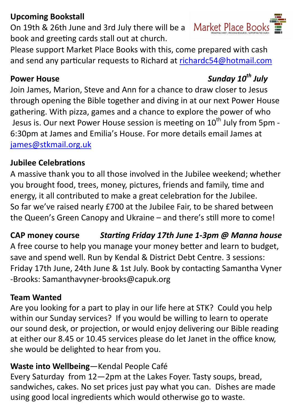### **Upcoming Bookstall**

**Market Place Book** On 19th & 26th June and 3rd July there will be a book and greeting cards stall out at church.

Please support Market Place Books with this, come prepared with cash and send any particular requests to Richard at [richardc54@hotmail.com](mailto:richardc54@hotmail.com)

Join James, Marion, Steve and Ann for a chance to draw closer to Jesus through opening the Bible together and diving in at our next Power House gathering. With pizza, games and a chance to explore the power of who Jesus is. Our next Power House session is meeting on 10<sup>th</sup> July from 5pm -6:30pm at James and Emilia's House. For more details email James at [james@stkmail.org.uk](mailto:james@stkmail.org.uk)

### **Jubilee Celebrations**

A massive thank you to all those involved in the Jubilee weekend; whether you brought food, trees, money, pictures, friends and family, time and energy, it all contributed to make a great celebration for the Jubilee. So far we've raised nearly £700 at the Jubilee Fair, to be shared between the Queen's Green Canopy and Ukraine – and there's still more to come!

**CAP money course** *Starting Friday 17th June 1-3pm @ Manna house*  A free course to help you manage your money better and learn to budget, save and spend well. Run by Kendal & District Debt Centre. 3 sessions: Friday 17th June, 24th June & 1st July. Book by contacting Samantha Vyner -Brooks: Samanthavyner-brooks@capuk.org

### **Team Wanted**

Are you looking for a part to play in our life here at STK? Could you help within our Sunday services? If you would be willing to learn to operate our sound desk, or projection, or would enjoy delivering our Bible reading at either our 8.45 or 10.45 services please do let Janet in the office know, she would be delighted to hear from you.

## **Waste into Wellbeing**—Kendal People Café

Every Saturday from 12—2pm at the Lakes Foyer. Tasty soups, bread, sandwiches, cakes. No set prices just pay what you can. Dishes are made using good local ingredients which would otherwise go to waste.

# **Power House** *Sunday 10th July*